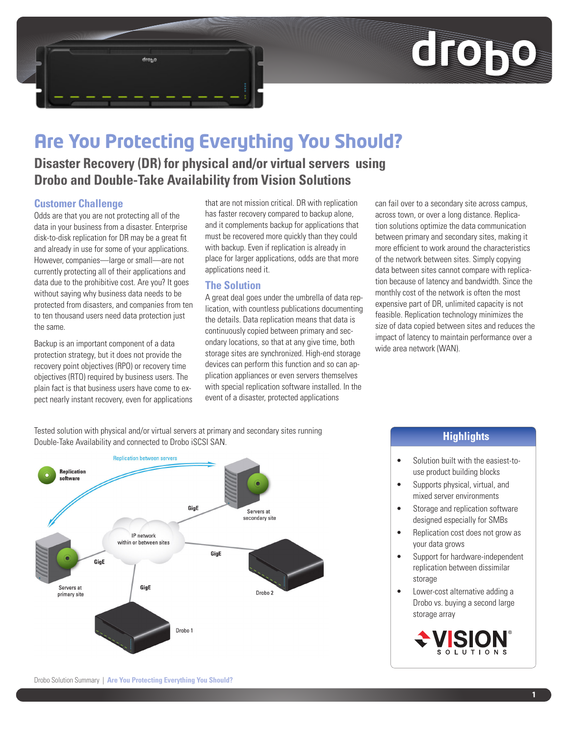

# **Are You Protecting Everything You Should?**

**Disaster Recovery (DR) for physical and/or virtual servers using Drobo and Double-Take Availability from Vision Solutions**

### **Customer Challenge**

Odds are that you are not protecting all of the data in your business from a disaster. Enterprise disk-to-disk replication for DR may be a great fit and already in use for some of your applications. However, companies—large or small—are not currently protecting all of their applications and data due to the prohibitive cost. Are you? It goes without saying why business data needs to be protected from disasters, and companies from ten to ten thousand users need data protection just the same.

drogo

Backup is an important component of a data protection strategy, but it does not provide the recovery point objectives (RPO) or recovery time objectives (RTO) required by business users. The plain fact is that business users have come to expect nearly instant recovery, even for applications that are not mission critical. DR with replication has faster recovery compared to backup alone, and it complements backup for applications that must be recovered more quickly than they could with backup. Even if replication is already in place for larger applications, odds are that more applications need it.

### **The Solution**

A great deal goes under the umbrella of data replication, with countless publications documenting the details. Data replication means that data is continuously copied between primary and secondary locations, so that at any give time, both storage sites are synchronized. High-end storage devices can perform this function and so can application appliances or even servers themselves with special replication software installed. In the event of a disaster, protected applications

can fail over to a secondary site across campus, across town, or over a long distance. Replication solutions optimize the data communication between primary and secondary sites, making it more efficient to work around the characteristics of the network between sites. Simply copying data between sites cannot compare with replication because of latency and bandwidth. Since the monthly cost of the network is often the most expensive part of DR, unlimited capacity is not feasible. Replication technology minimizes the size of data copied between sites and reduces the impact of latency to maintain performance over a wide area network (WAN).

Tested solution with physical and/or virtual servers at primary and secondary sites running Double-Take Availability and connected to Drobo iSCSI SAN.



## **Highlights**

- Solution built with the easiest-touse product building blocks
- Supports physical, virtual, and mixed server environments
- Storage and replication software designed especially for SMBs
- Replication cost does not grow as your data grows
- Support for hardware-independent replication between dissimilar storage
- • Lower-cost alternative adding a Drobo vs. buying a second large storage array